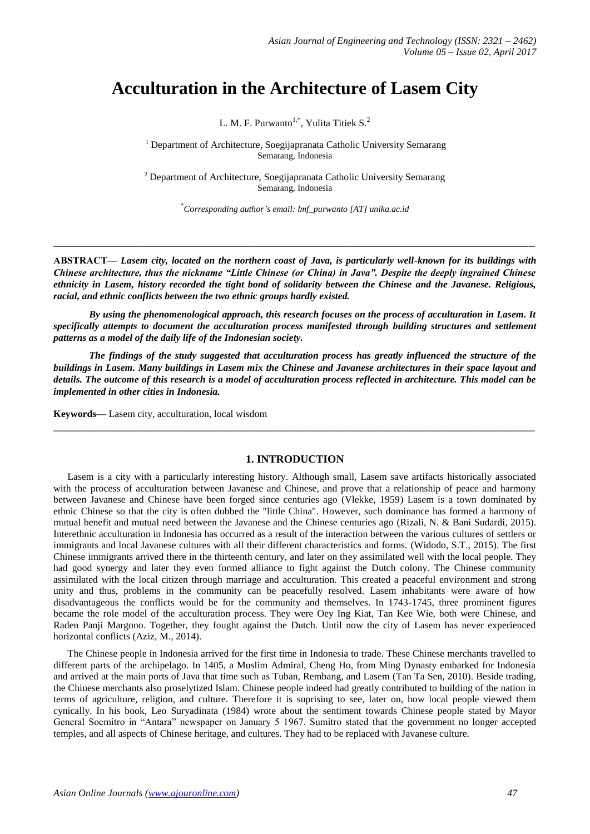# **Acculturation in the Architecture of Lasem City**

L. M. F. Purwanto<sup>1,\*</sup>, Yulita Titiek S.<sup>2</sup>

<sup>1</sup> Department of Architecture, Soegijapranata Catholic University Semarang Semarang, Indonesia

<sup>2</sup> Department of Architecture, Soegijapranata Catholic University Semarang Semarang, Indonesia

\* *Corresponding author's email: lmf\_purwanto [AT] unika.ac.id*

**ABSTRACT—** *Lasem city, located on the northern coast of Java, is particularly well-known for its buildings with Chinese architecture, thus the nickname "Little Chinese (or China) in Java". Despite the deeply ingrained Chinese ethnicity in Lasem, history recorded the tight bond of solidarity between the Chinese and the Javanese. Religious, racial, and ethnic conflicts between the two ethnic groups hardly existed.*

**\_\_\_\_\_\_\_\_\_\_\_\_\_\_\_\_\_\_\_\_\_\_\_\_\_\_\_\_\_\_\_\_\_\_\_\_\_\_\_\_\_\_\_\_\_\_\_\_\_\_\_\_\_\_\_\_\_\_\_\_\_\_\_\_\_\_\_\_\_\_\_\_\_\_\_\_\_\_\_\_\_**

*By using the phenomenological approach, this research focuses on the process of acculturation in Lasem. It specifically attempts to document the acculturation process manifested through building structures and settlement patterns as a model of the daily life of the Indonesian society.* 

*The findings of the study suggested that acculturation process has greatly influenced the structure of the buildings in Lasem. Many buildings in Lasem mix the Chinese and Javanese architectures in their space layout and details. The outcome of this research is a model of acculturation process reflected in architecture. This model can be implemented in other cities in Indonesia.* 

**Keywords—** Lasem city, acculturation, local wisdom

#### **1. INTRODUCTION**

**\_\_\_\_\_\_\_\_\_\_\_\_\_\_\_\_\_\_\_\_\_\_\_\_\_\_\_\_\_\_\_\_\_\_\_\_\_\_\_\_\_\_\_\_\_\_\_\_\_\_\_\_\_\_\_\_\_\_\_\_\_\_\_\_\_\_\_\_\_\_\_\_\_\_\_\_\_\_\_\_\_**

Lasem is a city with a particularly interesting history. Although small, Lasem save artifacts historically associated with the process of acculturation between Javanese and Chinese, and prove that a relationship of peace and harmony between Javanese and Chinese have been forged since centuries ago (Vlekke, 1959) Lasem is a town dominated by ethnic Chinese so that the city is often dubbed the "little China". However, such dominance has formed a harmony of mutual benefit and mutual need between the Javanese and the Chinese centuries ago (Rizali, N. & Bani Sudardi, 2015). Interethnic acculturation in Indonesia has occurred as a result of the interaction between the various cultures of settlers or immigrants and local Javanese cultures with all their different characteristics and forms. (Widodo, S.T., 2015). The first Chinese immigrants arrived there in the thirteenth century, and later on they assimilated well with the local people. They had good synergy and later they even formed alliance to fight against the Dutch colony. The Chinese community assimilated with the local citizen through marriage and acculturation. This created a peaceful environment and strong unity and thus, problems in the community can be peacefully resolved. Lasem inhabitants were aware of how disadvantageous the conflicts would be for the community and themselves. In 1743-1745, three prominent figures became the role model of the acculturation process. They were Oey Ing Kiat, Tan Kee Wie, both were Chinese, and Raden Panji Margono. Together, they fought against the Dutch. Until now the city of Lasem has never experienced horizontal conflicts (Aziz, M., 2014).

The Chinese people in Indonesia arrived for the first time in Indonesia to trade. These Chinese merchants travelled to different parts of the archipelago. In 1405, a Muslim Admiral, Cheng Ho, from Ming Dynasty embarked for Indonesia and arrived at the main ports of Java that time such as Tuban, Rembang, and Lasem (Tan Ta Sen, 2010). Beside trading, the Chinese merchants also proselytized Islam. Chinese people indeed had greatly contributed to building of the nation in terms of agriculture, religion, and culture. Therefore it is suprising to see, later on, how local people viewed them cynically. In his book, Leo Suryadinata (1984) wrote about the sentiment towards Chinese people stated by Mayor General Soemitro in "Antara" newspaper on January 5 1967. Sumitro stated that the government no longer accepted temples, and all aspects of Chinese heritage, and cultures. They had to be replaced with Javanese culture.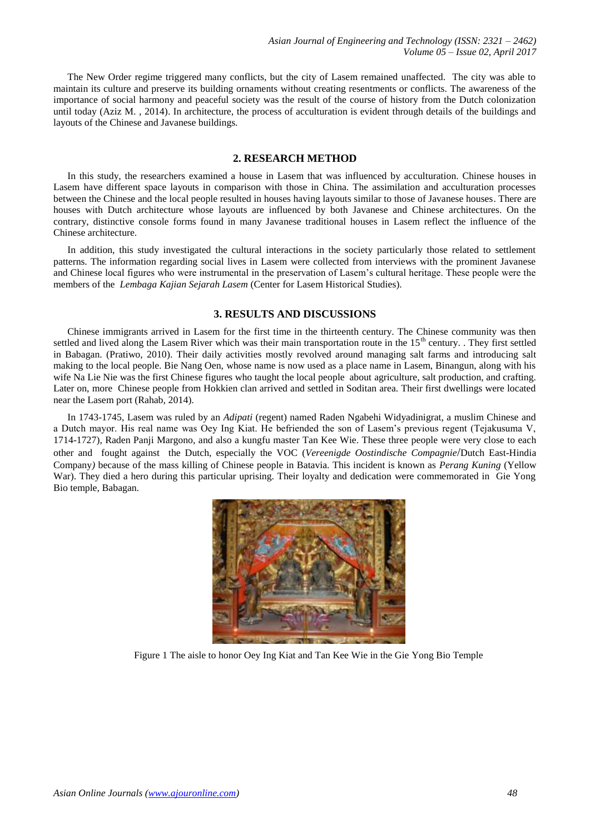The New Order regime triggered many conflicts, but the city of Lasem remained unaffected. The city was able to maintain its culture and preserve its building ornaments without creating resentments or conflicts. The awareness of the importance of social harmony and peaceful society was the result of the course of history from the Dutch colonization until today (Aziz M. , 2014). In architecture, the process of acculturation is evident through details of the buildings and layouts of the Chinese and Javanese buildings.

### **2. RESEARCH METHOD**

In this study, the researchers examined a house in Lasem that was influenced by acculturation. Chinese houses in Lasem have different space layouts in comparison with those in China. The assimilation and acculturation processes between the Chinese and the local people resulted in houses having layouts similar to those of Javanese houses. There are houses with Dutch architecture whose layouts are influenced by both Javanese and Chinese architectures. On the contrary, distinctive console forms found in many Javanese traditional houses in Lasem reflect the influence of the Chinese architecture.

In addition, this study investigated the cultural interactions in the society particularly those related to settlement patterns. The information regarding social lives in Lasem were collected from interviews with the prominent Javanese and Chinese local figures who were instrumental in the preservation of Lasem's cultural heritage. These people were the members of the *Lembaga Kajian Sejarah Lasem* (Center for Lasem Historical Studies).

#### **3. RESULTS AND DISCUSSIONS**

Chinese immigrants arrived in Lasem for the first time in the thirteenth century. The Chinese community was then settled and lived along the Lasem River which was their main transportation route in the  $15<sup>th</sup>$  century. . They first settled in Babagan. (Pratiwo, 2010). Their daily activities mostly revolved around managing salt farms and introducing salt making to the local people. Bie Nang Oen, whose name is now used as a place name in Lasem, Binangun, along with his wife Na Lie Nie was the first Chinese figures who taught the local people about agriculture, salt production, and crafting. Later on, more Chinese people from Hokkien clan arrived and settled in Soditan area. Their first dwellings were located near the Lasem port (Rahab, 2014).

In 1743-1745, Lasem was ruled by an *Adipati* (regent) named Raden Ngabehi Widyadinigrat, a muslim Chinese and a Dutch mayor. His real name was Oey Ing Kiat. He befriended the son of Lasem's previous regent (Tejakusuma V, 1714-1727), Raden Panji Margono, and also a kungfu master Tan Kee Wie. These three people were very close to each other and fought against the Dutch, especially the VOC (*Vereenigde Oostindische Compagnie*/Dutch East-Hindia Company*)* because of the mass killing of Chinese people in Batavia. This incident is known as *Perang Kuning* (Yellow War). They died a hero during this particular uprising. Their loyalty and dedication were commemorated in Gie Yong Bio temple, Babagan.



Figure 1 The aisle to honor Oey Ing Kiat and Tan Kee Wie in the Gie Yong Bio Temple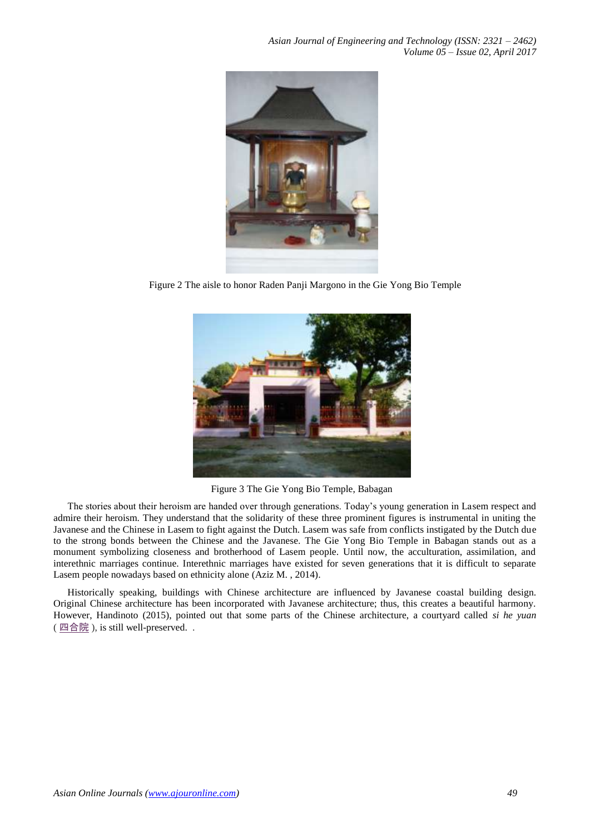

Figure 2 The aisle to honor Raden Panji Margono in the Gie Yong Bio Temple



Figure 3 The Gie Yong Bio Temple, Babagan

The stories about their heroism are handed over through generations. Today's young generation in Lasem respect and admire their heroism. They understand that the solidarity of these three prominent figures is instrumental in uniting the Javanese and the Chinese in Lasem to fight against the Dutch. Lasem was safe from conflicts instigated by the Dutch due to the strong bonds between the Chinese and the Javanese. The Gie Yong Bio Temple in Babagan stands out as a monument symbolizing closeness and brotherhood of Lasem people. Until now, the acculturation, assimilation, and interethnic marriages continue. Interethnic marriages have existed for seven generations that it is difficult to separate Lasem people nowadays based on ethnicity alone (Aziz M. , 2014).

Historically speaking, buildings with Chinese architecture are influenced by Javanese coastal building design. Original Chinese architecture has been incorporated with Javanese architecture; thus, this creates a beautiful harmony. However, Handinoto (2015), pointed out that some parts of the Chinese architecture, a courtyard called *si he yuan*   $($   $\underline{m \triangleq \mathbb{E}}$   $)$ , is still well-preserved. .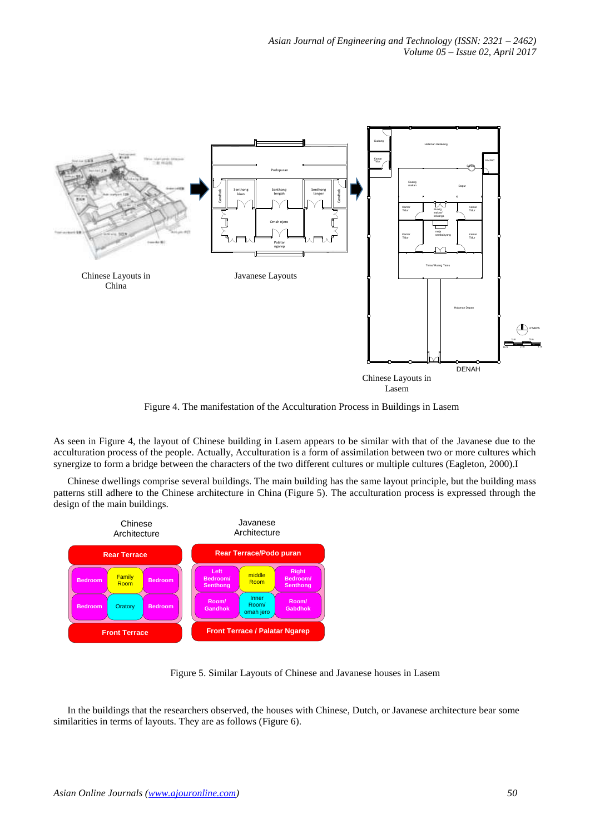

Figure 4. The manifestation of the Acculturation Process in Buildings in Lasem

As seen in Figure 4, the layout of Chinese building in Lasem appears to be similar with that of the Javanese due to the acculturation process of the people. Actually, Acculturation is a form of assimilation between two or more cultures which synergize to form a bridge between the characters of the two different cultures or multiple cultures (Eagleton, 2000).I

Chinese dwellings comprise several buildings. The main building has the same layout principle, but the building mass patterns still adhere to the Chinese architecture in China (Figure 5). The acculturation process is expressed through the design of the main buildings.



Figure 5. Similar Layouts of Chinese and Javanese houses in Lasem

In the buildings that the researchers observed, the houses with Chinese, Dutch, or Javanese architecture bear some similarities in terms of layouts. They are as follows (Figure 6).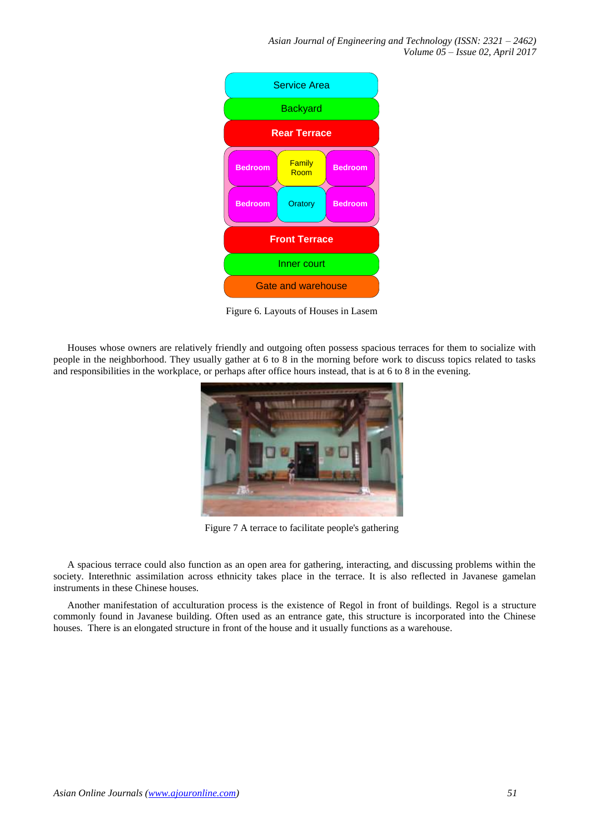*Asian Journal of Engineering and Technology (ISSN: 2321 – 2462) Volume 05 – Issue 02, April 2017*



Figure 6. Layouts of Houses in Lasem

Houses whose owners are relatively friendly and outgoing often possess spacious terraces for them to socialize with people in the neighborhood. They usually gather at 6 to 8 in the morning before work to discuss topics related to tasks and responsibilities in the workplace, or perhaps after office hours instead, that is at 6 to 8 in the evening.



Figure 7 A terrace to facilitate people's gathering

A spacious terrace could also function as an open area for gathering, interacting, and discussing problems within the society. Interethnic assimilation across ethnicity takes place in the terrace. It is also reflected in Javanese gamelan instruments in these Chinese houses.

Another manifestation of acculturation process is the existence of Regol in front of buildings. Regol is a structure commonly found in Javanese building. Often used as an entrance gate, this structure is incorporated into the Chinese houses. There is an elongated structure in front of the house and it usually functions as a warehouse.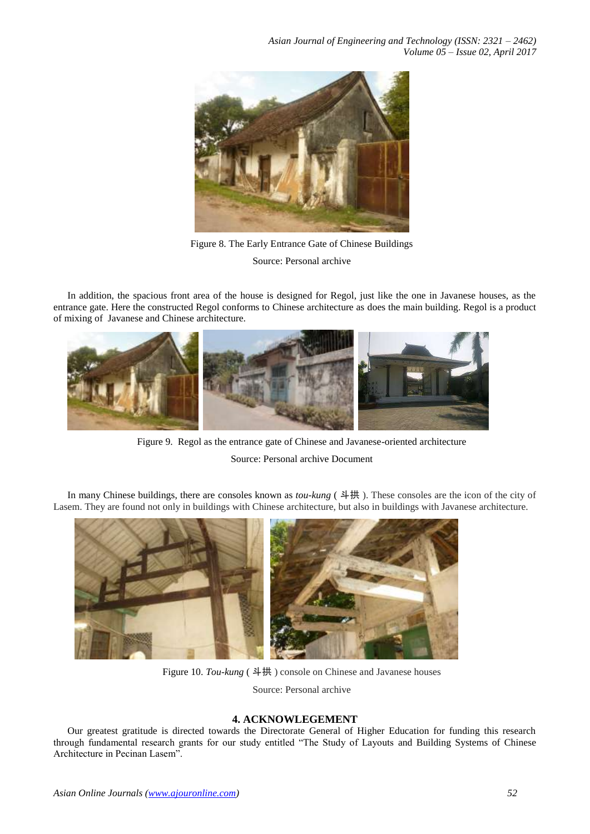*Asian Journal of Engineering and Technology (ISSN: 2321 – 2462) Volume 05 – Issue 02, April 2017*



Figure 8. The Early Entrance Gate of Chinese Buildings Source: Personal archive

In addition, the spacious front area of the house is designed for Regol, just like the one in Javanese houses, as the entrance gate. Here the constructed Regol conforms to Chinese architecture as does the main building. Regol is a product of mixing of Javanese and Chinese architecture.



Figure 9. Regol as the entrance gate of Chinese and Javanese-oriented architecture Source: Personal archive Document

In many Chinese buildings, there are consoles known as *tou-kung* ( 斗拱 ). These consoles are the icon of the city of Lasem. They are found not only in buildings with Chinese architecture, but also in buildings with Javanese architecture.



Figure 10. *Tou-kung* ( 斗拱 ) console on Chinese and Javanese houses

Source: Personal archive

## **4. ACKNOWLEGEMENT**

Our greatest gratitude is directed towards the Directorate General of Higher Education for funding this research through fundamental research grants for our study entitled "The Study of Layouts and Building Systems of Chinese Architecture in Pecinan Lasem".